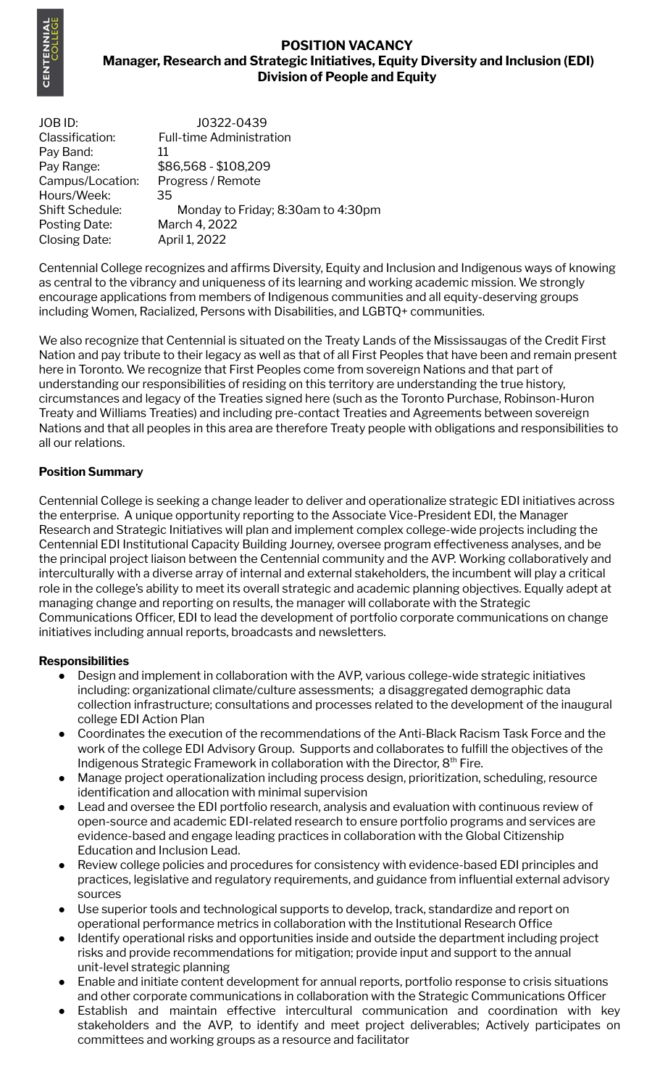

# **POSITION VACANCY Manager, Research and Strategic Initiatives, Equity Diversity and Inclusion (EDI) Division of People and Equity**

JOB ID: J0322-0439 Classification: Full-time Administration Pay Band: 11 Pay Range: \$86,568 - \$108,209 Campus/Location: Progress / Remote Hours/Week: 35 Shift Schedule: Monday to Friday; 8:30am to 4:30pm Posting Date: March 4, 2022 Closing Date: April 1, 2022

Centennial College recognizes and affirms Diversity, Equity and Inclusion and Indigenous ways of knowing as central to the vibrancy and uniqueness of its learning and working academic mission. We strongly encourage applications from members of Indigenous communities and all equity-deserving groups including Women, Racialized, Persons with Disabilities, and LGBTQ+ communities.

We also recognize that Centennial is situated on the Treaty Lands of the Mississaugas of the Credit First Nation and pay tribute to their legacy as well as that of all First Peoples that have been and remain present here in Toronto. We recognize that First Peoples come from sovereign Nations and that part of understanding our responsibilities of residing on this territory are understanding the true history, circumstances and legacy of the Treaties signed here (such as the Toronto Purchase, Robinson-Huron Treaty and Williams Treaties) and including pre-contact Treaties and Agreements between sovereign Nations and that all peoples in this area are therefore Treaty people with obligations and responsibilities to all our relations.

## **Position Summary**

Centennial College is seeking a change leader to deliver and operationalize strategic EDI initiatives across the enterprise. A unique opportunity reporting to the Associate Vice-President EDI, the Manager Research and Strategic Initiatives will plan and implement complex college-wide projects including the Centennial EDI Institutional Capacity Building Journey, oversee program effectiveness analyses, and be the principal project liaison between the Centennial community and the AVP. Working collaboratively and interculturally with a diverse array of internal and external stakeholders, the incumbent will play a critical role in the college's ability to meet its overall strategic and academic planning objectives. Equally adept at managing change and reporting on results, the manager will collaborate with the Strategic Communications Officer, EDI to lead the development of portfolio corporate communications on change initiatives including annual reports, broadcasts and newsletters.

## **Responsibilities**

- Design and implement in collaboration with the AVP, various college-wide strategic initiatives including: organizational climate/culture assessments; a disaggregated demographic data collection infrastructure; consultations and processes related to the development of the inaugural college EDI Action Plan
- Coordinates the execution of the recommendations of the Anti-Black Racism Task Force and the work of the college EDI Advisory Group. Supports and collaborates to fulfill the objectives of the Indigenous Strategic Framework in collaboration with the Director, 8<sup>th</sup> Fire.
- Manage project operationalization including process design, prioritization, scheduling, resource identification and allocation with minimal supervision
- Lead and oversee the EDI portfolio research, analysis and evaluation with continuous review of open-source and academic EDI-related research to ensure portfolio programs and services are evidence-based and engage leading practices in collaboration with the Global Citizenship Education and Inclusion Lead.
- Review college policies and procedures for consistency with evidence-based EDI principles and practices, legislative and regulatory requirements, and guidance from influential external advisory sources
- Use superior tools and technological supports to develop, track, standardize and report on operational performance metrics in collaboration with the Institutional Research Office
- Identify operational risks and opportunities inside and outside the department including project risks and provide recommendations for mitigation; provide input and support to the annual unit-level strategic planning
- Enable and initiate content development for annual reports, portfolio response to crisis situations and other corporate communications in collaboration with the Strategic Communications Officer
- Establish and maintain effective intercultural communication and coordination with key stakeholders and the AVP, to identify and meet project deliverables; Actively participates on committees and working groups as a resource and facilitator